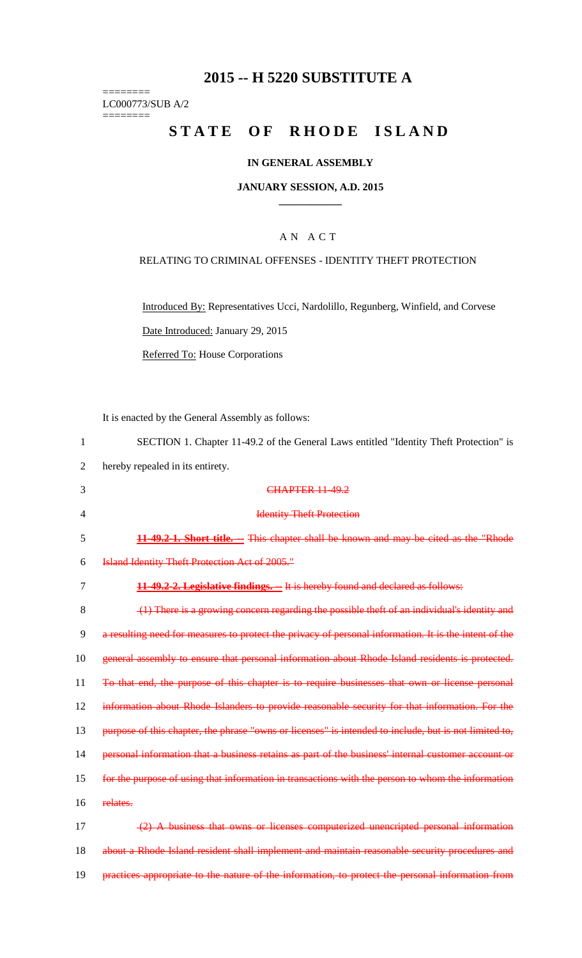## **2015 -- H 5220 SUBSTITUTE A**

LC000773/SUB A/2

========

========

# **STATE OF RHODE ISLAND**

## **IN GENERAL ASSEMBLY**

#### **JANUARY SESSION, A.D. 2015 \_\_\_\_\_\_\_\_\_\_\_\_**

## A N A C T

## RELATING TO CRIMINAL OFFENSES - IDENTITY THEFT PROTECTION

Introduced By: Representatives Ucci, Nardolillo, Regunberg, Winfield, and Corvese Date Introduced: January 29, 2015

Referred To: House Corporations

It is enacted by the General Assembly as follows:

| $\mathbf{1}$   | SECTION 1. Chapter 11-49.2 of the General Laws entitled "Identity Theft Protection" is                |
|----------------|-------------------------------------------------------------------------------------------------------|
| $\overline{2}$ | hereby repealed in its entirety.                                                                      |
| 3              | <b>CHAPTER 11-49.2</b>                                                                                |
| 4              | <b>Identity Theft Protection</b>                                                                      |
| 5              | 11-49.2-1. Short title. -- This chapter shall be known and may be cited as the "Rhode"                |
| 6              | <b>Island Identity Theft Protection Act of 2005."</b>                                                 |
| 7              | 11-49.2-2. Legislative findings. -- It is hereby found and declared as follows:                       |
| 8              | (1) There is a growing concern regarding the possible theft of an individual's identity and           |
| 9              | a resulting need for measures to protect the privacy of personal information. It is the intent of the |
| 10             | general assembly to ensure that personal information about Rhode Island residents is protected.       |
| 11             | To that end, the purpose of this chapter is to require businesses that own or license personal        |
| 12             | information about Rhode Islanders to provide reasonable security for that information. For the        |
| 13             | purpose of this chapter, the phrase "owns or licenses" is intended to include, but is not limited to, |
| 14             | personal information that a business retains as part of the business' internal customer account or    |
| 15             | for the purpose of using that information in transactions with the person to whom the information     |
| 16             | relates.                                                                                              |
| 17             | (2) A business that owns or licenses computerized unencripted personal information                    |
| 18             | about a Rhode Island resident shall implement and maintain reasonable security procedures and         |

19 practices appropriate to the nature of the information, to protect the personal information from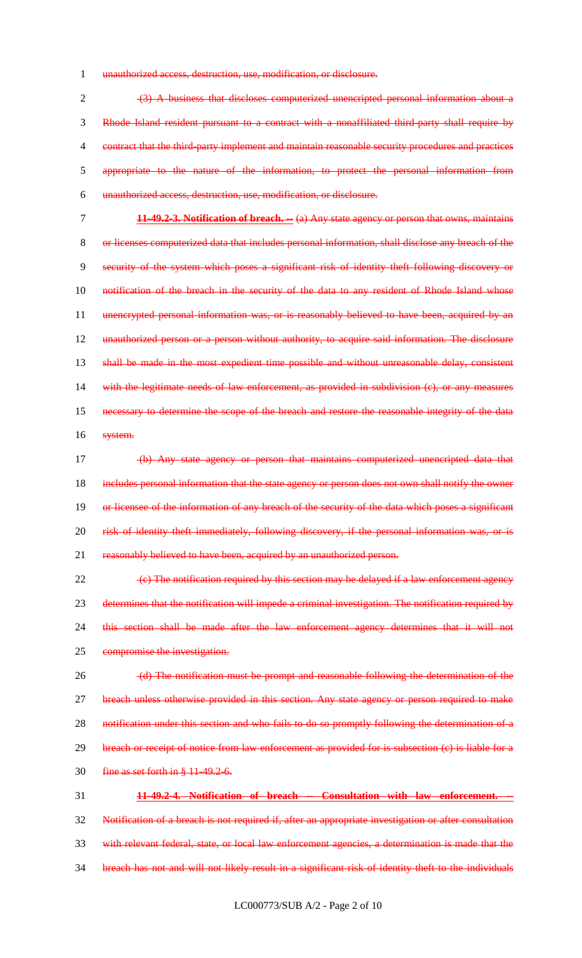1 unauthorized access, destruction, use, modification, or disclosure.

 (3) A business that discloses computerized unencripted personal information about a Rhode Island resident pursuant to a contract with a nonaffiliated third-party shall require by 4 contract that the third-party implement and maintain reasonable security procedures and practices appropriate to the nature of the information, to protect the personal information from unauthorized access, destruction, use, modification, or disclosure.

**11-49.2-3. Notification of breach.** -- (a) Any state agency or person that owns, maintains or licenses computerized data that includes personal information, shall disclose any breach of the security of the system which poses a significant risk of identity theft following discovery or notification of the breach in the security of the data to any resident of Rhode Island whose 11 unencrypted personal information was, or is reasonably believed to have been, acquired by an unauthorized person or a person without authority, to acquire said information. The disclosure 13 shall be made in the most expedient time possible and without unreasonable delay, consistent with the legitimate needs of law enforcement, as provided in subdivision (c), or any measures 15 necessary to determine the scope of the breach and restore the reasonable integrity of the data system.

 (b) Any state agency or person that maintains computerized unencripted data that 18 includes personal information that the state agency or person does not own shall notify the owner 19 or licensee of the information of any breach of the security of the data which poses a significant risk of identity theft immediately, following discovery, if the personal information was, or is 21 reasonably believed to have been, acquired by an unauthorized person.

22 (c) The notification required by this section may be delayed if a law enforcement agency determines that the notification will impede a criminal investigation. The notification required by 24 this section shall be made after the law enforcement agency determines that it will not 25 compromise the investigation.

26 (d) The notification must be prompt and reasonable following the determination of the breach unless otherwise provided in this section. Any state agency or person required to make notification under this section and who fails to do so promptly following the determination of a breach or receipt of notice from law enforcement as provided for is subsection (c) is liable for a fine as set forth in § 11-49.2-6. **11-49.2-4. Notification of breach -- Consultation with law enforcement. --**

 Notification of a breach is not required if, after an appropriate investigation or after consultation with relevant federal, state, or local law enforcement agencies, a determination is made that the breach has not and will not likely result in a significant risk of identity theft to the individuals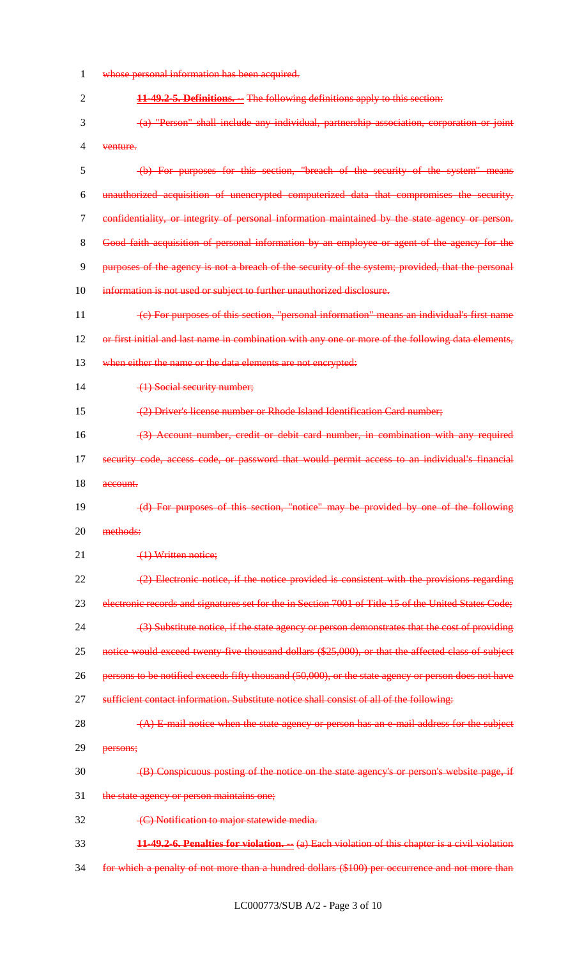whose personal information has been acquired.

| $\overline{2}$ | 11-49.2-5. Definitions. -- The following definitions apply to this section:                          |
|----------------|------------------------------------------------------------------------------------------------------|
| 3              | (a) "Person" shall include any individual, partnership association, corporation or joint             |
| 4              | venture.                                                                                             |
| 5              | (b) For purposes for this section, "breach of the security of the system" means                      |
| 6              | unauthorized acquisition of unencrypted computerized data that compromises the security,             |
| $\tau$         | confidentiality, or integrity of personal information maintained by the state agency or person.      |
| 8              | Good faith acquisition of personal information by an employee or agent of the agency for the         |
| 9              | purposes of the agency is not a breach of the security of the system; provided, that the personal    |
| 10             | information is not used or subject to further unauthorized disclosure.                               |
| 11             | (e) For purposes of this section, "personal information" means an individual's first name            |
| 12             | or first initial and last name in combination with any one or more of the following data elements,   |
| 13             | when either the name or the data elements are not encrypted:                                         |
| 14             | (1) Social security number;                                                                          |
| 15             | (2) Driver's license number or Rhode Island Identification Card number;                              |
| 16             | (3) Account number, credit or debit card number, in combination with any required                    |
| 17             | security code, access code, or password that would permit access to an individual's financial        |
| 18             | account.                                                                                             |
| 19             | (d) For purposes of this section, "notice" may be provided by one of the following                   |
| 20             | methods:                                                                                             |
| 21             | (1) Written notice;                                                                                  |
| 22             | $(2)$ Electronic notice, if the notice provided is consistent with the provisions regarding          |
| 23             | electronic records and signatures set for the in Section 7001 of Title 15 of the United States Code; |
| 24             | (3) Substitute notice, if the state agency or person demonstrates that the cost of providing         |
| 25             | notice would exceed twenty five thousand dollars (\$25,000), or that the affected class of subject   |
| 26             | persons to be notified exceeds fifty thousand (50,000), or the state agency or person does not have  |
| 27             | sufficient contact information. Substitute notice shall consist of all of the following:             |
| 28             | $(A)$ E-mail notice when the state agency or person has an e-mail address for the subject            |
| 29             | persons;                                                                                             |
| 30             | (B) Conspicuous posting of the notice on the state agency's or person's website page, if             |
| 31             | the state agency or person maintains one;                                                            |
| 32             | (C) Notification to major statewide media.                                                           |
| 33             | 11-49.2-6. Penalties for violation. -- (a) Each violation of this chapter is a civil violation       |
| 34             | for which a penalty of not more than a hundred dollars (\$100) per occurrence and not more than      |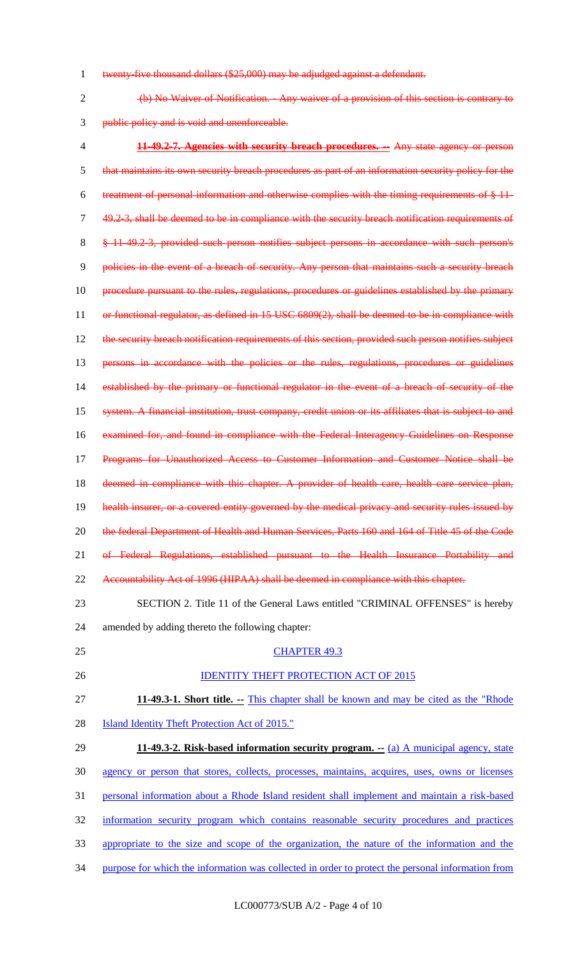1 twenty-five thousand dollars (\$25,000) may be adjudged against a defendant.

 (b) No Waiver of Notification. - Any waiver of a provision of this section is contrary to public policy and is void and unenforceable.

 **11-49.2-7. Agencies with security breach procedures. --** Any state agency or person that maintains its own security breach procedures as part of an information security policy for the treatment of personal information and otherwise complies with the timing requirements of § 11- 7 49.2-3, shall be deemed to be in compliance with the security breach notification requirements of § 11-49.2-3, provided such person notifies subject persons in accordance with such person's 9 policies in the event of a breach of security. Any person that maintains such a security breach 10 procedure pursuant to the rules, regulations, procedures or guidelines established by the primary 11 or functional regulator, as defined in 15 USC 6809(2), shall be deemed to be in compliance with the security breach notification requirements of this section, provided such person notifies subject 13 persons in accordance with the policies or the rules, regulations, procedures or guidelines established by the primary or functional regulator in the event of a breach of security of the system. A financial institution, trust company, credit union or its affiliates that is subject to and 16 examined for, and found in compliance with the Federal Interagency Guidelines on Response Programs for Unauthorized Access to Customer Information and Customer Notice shall be 18 deemed in compliance with this chapter. A provider of health care, health care service plan, 19 health insurer, or a covered entity governed by the medical privacy and security rules issued by 20 the federal Department of Health and Human Services, Parts 160 and 164 of Title 45 of the Code of Federal Regulations, established pursuant to the Health Insurance Portability and 22 Accountability Act of 1996 (HIPAA) shall be deemed in compliance with this chapter. SECTION 2. Title 11 of the General Laws entitled "CRIMINAL OFFENSES" is hereby amended by adding thereto the following chapter: CHAPTER 49.3 **IDENTITY THEFT PROTECTION ACT OF 2015 11-49.3-1. Short title. --** This chapter shall be known and may be cited as the "Rhode **Island Identity Theft Protection Act of 2015." 11-49.3-2. Risk-based information security program. --** (a) A municipal agency, state agency or person that stores, collects, processes, maintains, acquires, uses, owns or licenses personal information about a Rhode Island resident shall implement and maintain a risk-based information security program which contains reasonable security procedures and practices appropriate to the size and scope of the organization, the nature of the information and the 34 purpose for which the information was collected in order to protect the personal information from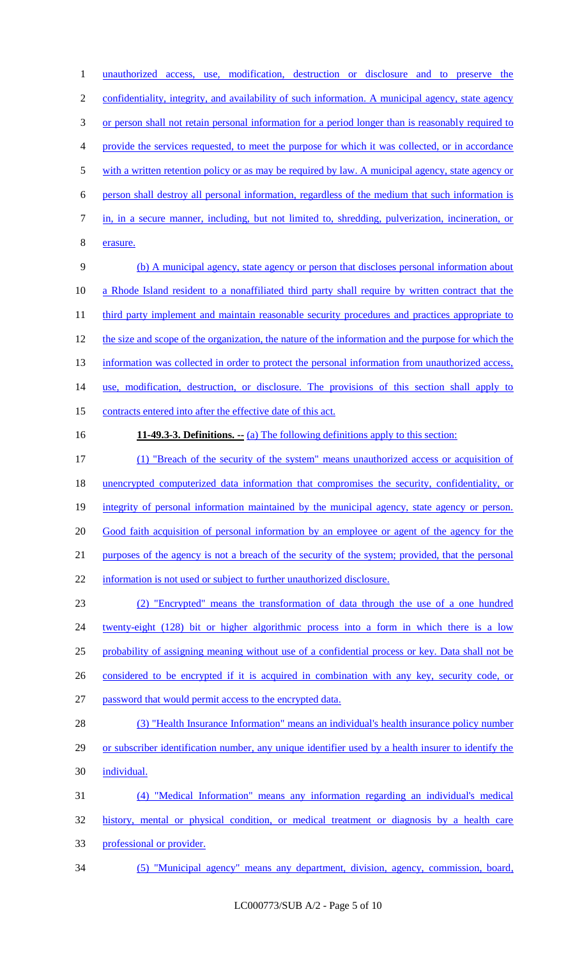unauthorized access, use, modification, destruction or disclosure and to preserve the confidentiality, integrity, and availability of such information. A municipal agency, state agency or person shall not retain personal information for a period longer than is reasonably required to provide the services requested, to meet the purpose for which it was collected, or in accordance 5 with a written retention policy or as may be required by law. A municipal agency, state agency or person shall destroy all personal information, regardless of the medium that such information is in, in a secure manner, including, but not limited to, shredding, pulverization, incineration, or erasure. (b) A municipal agency, state agency or person that discloses personal information about a Rhode Island resident to a nonaffiliated third party shall require by written contract that the 11 third party implement and maintain reasonable security procedures and practices appropriate to the size and scope of the organization, the nature of the information and the purpose for which the 13 information was collected in order to protect the personal information from unauthorized access, 14 use, modification, destruction, or disclosure. The provisions of this section shall apply to 15 contracts entered into after the effective date of this act. **11-49.3-3. Definitions.**  $\cdot$  (a) The following definitions apply to this section: (1) "Breach of the security of the system" means unauthorized access or acquisition of unencrypted computerized data information that compromises the security, confidentiality, or integrity of personal information maintained by the municipal agency, state agency or person. Good faith acquisition of personal information by an employee or agent of the agency for the purposes of the agency is not a breach of the security of the system; provided, that the personal information is not used or subject to further unauthorized disclosure. (2) "Encrypted" means the transformation of data through the use of a one hundred twenty-eight (128) bit or higher algorithmic process into a form in which there is a low probability of assigning meaning without use of a confidential process or key. Data shall not be 26 considered to be encrypted if it is acquired in combination with any key, security code, or password that would permit access to the encrypted data. (3) "Health Insurance Information" means an individual's health insurance policy number 29 or subscriber identification number, any unique identifier used by a health insurer to identify the individual. (4) "Medical Information" means any information regarding an individual's medical history, mental or physical condition, or medical treatment or diagnosis by a health care professional or provider. (5) "Municipal agency" means any department, division, agency, commission, board,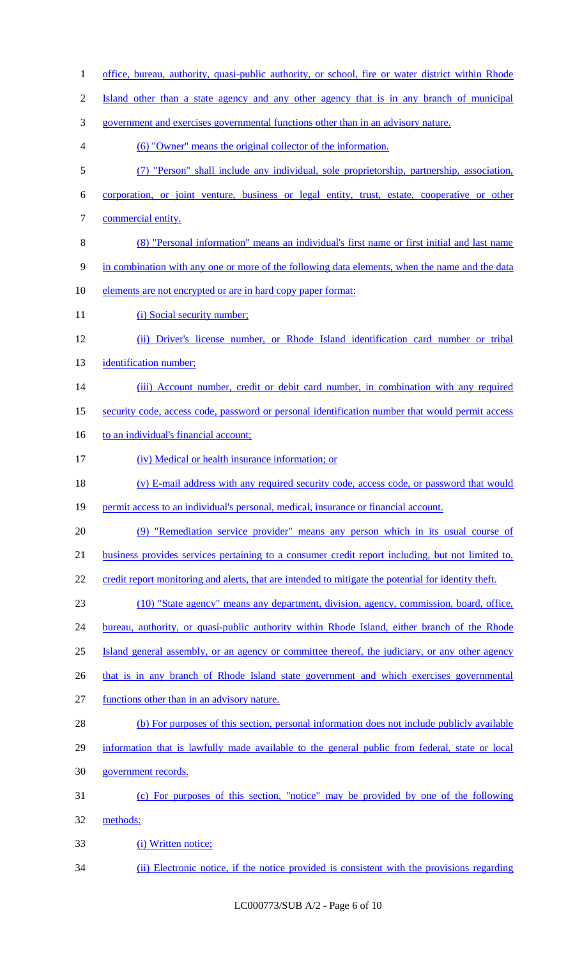- 1 office, bureau, authority, quasi-public authority, or school, fire or water district within Rhode Island other than a state agency and any other agency that is in any branch of municipal government and exercises governmental functions other than in an advisory nature. (6) "Owner" means the original collector of the information. (7) "Person" shall include any individual, sole proprietorship, partnership, association, corporation, or joint venture, business or legal entity, trust, estate, cooperative or other 7 commercial entity. (8) "Personal information" means an individual's first name or first initial and last name in combination with any one or more of the following data elements, when the name and the data elements are not encrypted or are in hard copy paper format: 11 (i) Social security number; (ii) Driver's license number, or Rhode Island identification card number or tribal 13 identification number; 14 (iii) Account number, credit or debit card number, in combination with any required security code, access code, password or personal identification number that would permit access 16 to an individual's financial account; (iv) Medical or health insurance information; or (v) E-mail address with any required security code, access code, or password that would 19 permit access to an individual's personal, medical, insurance or financial account. (9) "Remediation service provider" means any person which in its usual course of business provides services pertaining to a consumer credit report including, but not limited to, 22 credit report monitoring and alerts, that are intended to mitigate the potential for identity theft. (10) "State agency" means any department, division, agency, commission, board, office, 24 bureau, authority, or quasi-public authority within Rhode Island, either branch of the Rhode 25 Island general assembly, or an agency or committee thereof, the judiciary, or any other agency 26 that is in any branch of Rhode Island state government and which exercises governmental functions other than in an advisory nature. (b) For purposes of this section, personal information does not include publicly available information that is lawfully made available to the general public from federal, state or local government records. (c) For purposes of this section, "notice" may be provided by one of the following methods: (i) Written notice;
- (ii) Electronic notice, if the notice provided is consistent with the provisions regarding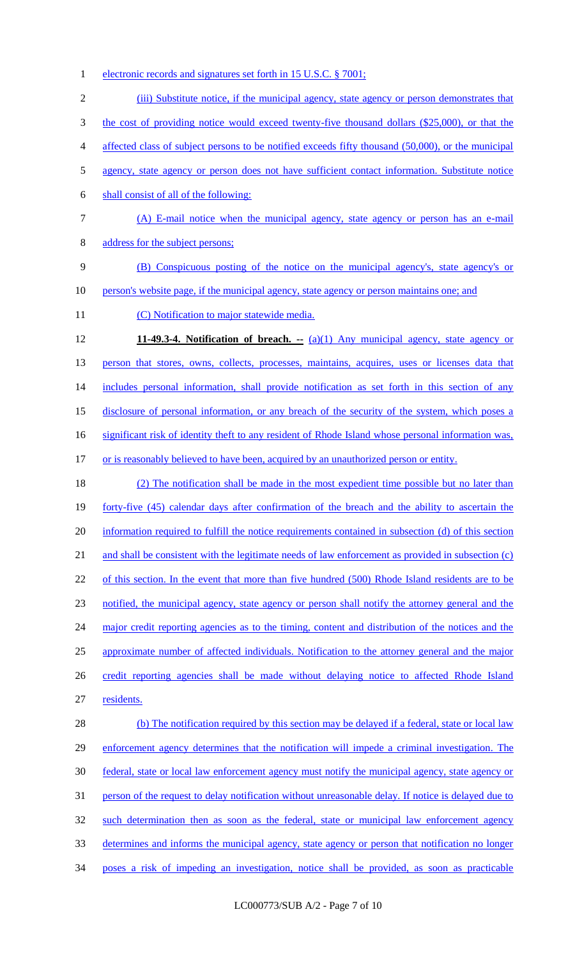1 electronic records and signatures set forth in 15 U.S.C. § 7001;

| $\mathfrak{2}$ | (iii) Substitute notice, if the municipal agency, state agency or person demonstrates that          |
|----------------|-----------------------------------------------------------------------------------------------------|
| 3              | the cost of providing notice would exceed twenty-five thousand dollars (\$25,000), or that the      |
| $\overline{4}$ | affected class of subject persons to be notified exceeds fifty thousand (50,000), or the municipal  |
| 5              | agency, state agency or person does not have sufficient contact information. Substitute notice      |
| 6              | shall consist of all of the following:                                                              |
| $\tau$         | (A) E-mail notice when the municipal agency, state agency or person has an e-mail                   |
| 8              | address for the subject persons;                                                                    |
| 9              | (B) Conspicuous posting of the notice on the municipal agency's, state agency's or                  |
| 10             | person's website page, if the municipal agency, state agency or person maintains one; and           |
| 11             | (C) Notification to major statewide media.                                                          |
| 12             | 11-49.3-4. Notification of breach. - (a)(1) Any municipal agency, state agency or                   |
| 13             | person that stores, owns, collects, processes, maintains, acquires, uses or licenses data that      |
| 14             | includes personal information, shall provide notification as set forth in this section of any       |
| 15             | disclosure of personal information, or any breach of the security of the system, which poses a      |
| 16             | significant risk of identity theft to any resident of Rhode Island whose personal information was,  |
| 17             | or is reasonably believed to have been, acquired by an unauthorized person or entity.               |
| 18             | (2) The notification shall be made in the most expedient time possible but no later than            |
| 19             | forty-five (45) calendar days after confirmation of the breach and the ability to ascertain the     |
| 20             | information required to fulfill the notice requirements contained in subsection (d) of this section |
| 21             | and shall be consistent with the legitimate needs of law enforcement as provided in subsection (c)  |
| 22             | of this section. In the event that more than five hundred (500) Rhode Island residents are to be    |
| 23             | notified, the municipal agency, state agency or person shall notify the attorney general and the    |
| 24             | major credit reporting agencies as to the timing, content and distribution of the notices and the   |
| 25             | approximate number of affected individuals. Notification to the attorney general and the major      |
| 26             | credit reporting agencies shall be made without delaying notice to affected Rhode Island            |
| 27             | residents.                                                                                          |
| 28             | (b) The notification required by this section may be delayed if a federal, state or local law       |
| 29             | enforcement agency determines that the notification will impede a criminal investigation. The       |
| 30             | federal, state or local law enforcement agency must notify the municipal agency, state agency or    |
| 31             | person of the request to delay notification without unreasonable delay. If notice is delayed due to |
| 32             | such determination then as soon as the federal, state or municipal law enforcement agency           |
| 33             | determines and informs the municipal agency, state agency or person that notification no longer     |
| 34             | poses a risk of impeding an investigation, notice shall be provided, as soon as practicable         |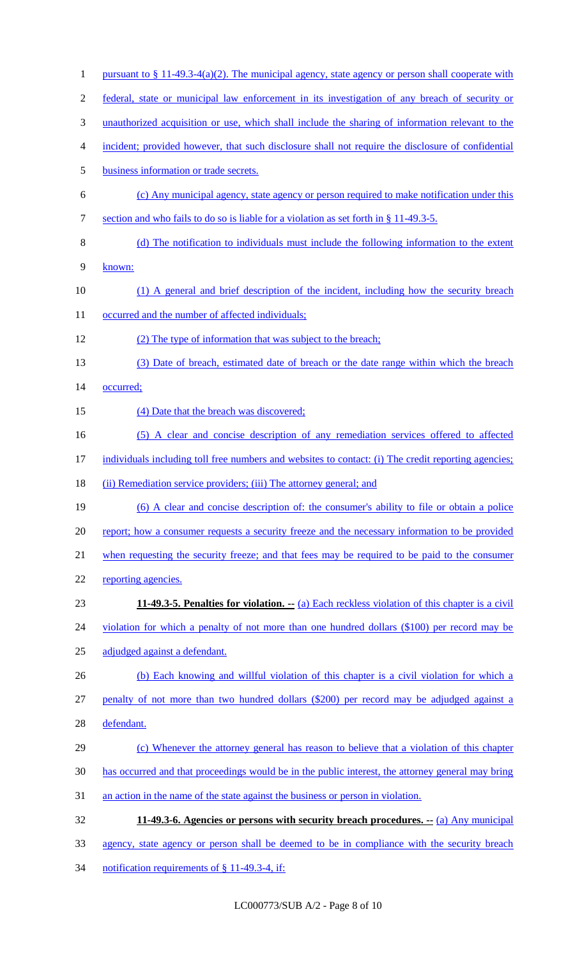1 pursuant to § 11-49.3-4(a)(2). The municipal agency, state agency or person shall cooperate with federal, state or municipal law enforcement in its investigation of any breach of security or unauthorized acquisition or use, which shall include the sharing of information relevant to the incident; provided however, that such disclosure shall not require the disclosure of confidential business information or trade secrets. (c) Any municipal agency, state agency or person required to make notification under this 7 section and who fails to do so is liable for a violation as set forth in § 11-49.3-5. (d) The notification to individuals must include the following information to the extent 9 known: (1) A general and brief description of the incident, including how the security breach 11 occurred and the number of affected individuals; (2) The type of information that was subject to the breach; (3) Date of breach, estimated date of breach or the date range within which the breach 14 occurred; 15 (4) Date that the breach was discovered; 16 (5) A clear and concise description of any remediation services offered to affected individuals including toll free numbers and websites to contact: (i) The credit reporting agencies; 18 (ii) Remediation service providers; (iii) The attorney general; and (6) A clear and concise description of: the consumer's ability to file or obtain a police 20 report; how a consumer requests a security freeze and the necessary information to be provided when requesting the security freeze; and that fees may be required to be paid to the consumer 22 reporting agencies. **11-49.3-5. Penalties for violation. --** (a) Each reckless violation of this chapter is a civil 24 violation for which a penalty of not more than one hundred dollars (\$100) per record may be adjudged against a defendant. 26 (b) Each knowing and willful violation of this chapter is a civil violation for which a penalty of not more than two hundred dollars (\$200) per record may be adjudged against a defendant. (c) Whenever the attorney general has reason to believe that a violation of this chapter has occurred and that proceedings would be in the public interest, the attorney general may bring an action in the name of the state against the business or person in violation. **11-49.3-6.** Agencies or persons with security breach procedures. -- (a) Any municipal agency, state agency or person shall be deemed to be in compliance with the security breach notification requirements of § 11-49.3-4, if: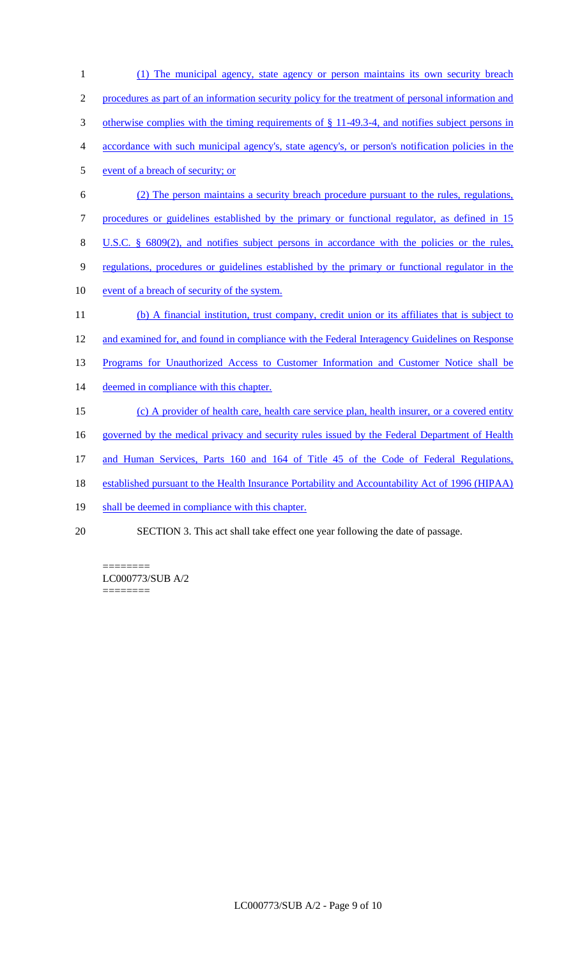1 (1) The municipal agency, state agency or person maintains its own security breach 2 procedures as part of an information security policy for the treatment of personal information and 3 otherwise complies with the timing requirements of § 11-49.3-4, and notifies subject persons in 4 accordance with such municipal agency's, state agency's, or person's notification policies in the 5 event of a breach of security; or 6 (2) The person maintains a security breach procedure pursuant to the rules, regulations, 7 procedures or guidelines established by the primary or functional regulator, as defined in 15 8 U.S.C. § 6809(2), and notifies subject persons in accordance with the policies or the rules, 9 regulations, procedures or guidelines established by the primary or functional regulator in the 10 event of a breach of security of the system. 11 (b) A financial institution, trust company, credit union or its affiliates that is subject to 12 and examined for, and found in compliance with the Federal Interagency Guidelines on Response 13 Programs for Unauthorized Access to Customer Information and Customer Notice shall be 14 deemed in compliance with this chapter. 15 (c) A provider of health care, health care service plan, health insurer, or a covered entity 16 governed by the medical privacy and security rules issued by the Federal Department of Health 17 and Human Services, Parts 160 and 164 of Title 45 of the Code of Federal Regulations, 18 established pursuant to the Health Insurance Portability and Accountability Act of 1996 (HIPAA) 19 shall be deemed in compliance with this chapter. 20 SECTION 3. This act shall take effect one year following the date of passage.

======== LC000773/SUB A/2 ========